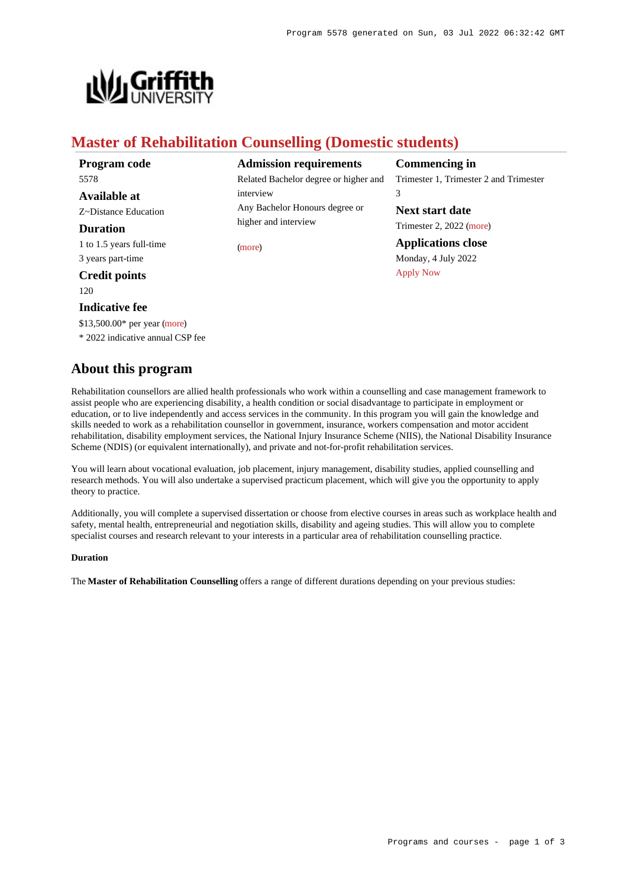

# **Master of Rehabilitation Counselling (Domestic students)**

**Program code** 5578 **Available at**

Z~Distance Education **Duration**

1 to 1.5 years full-time

3 years part-time

**Credit points** 120

# **Indicative fee**

\$13,500.00\* per year [\(more](https://www148.griffith.edu.au/programs-courses/Program/5578/Overview/Domestic#fees))

\* 2022 indicative annual CSP fee

# **About this program**

**Admission requirements** Related Bachelor degree or higher and interview Any Bachelor Honours degree or higher and interview

[\(more](https://www148.griffith.edu.au/programs-courses/Program/5578/HowToApply/Domestic#can-i-apply))

**Commencing in**

Trimester 1, Trimester 2 and Trimester 3

**Next start date** Trimester 2, 2022 [\(more](https://www148.griffith.edu.au/programs-courses/Program/5578/HowToApply/Domestic))

**Applications close** Monday, 4 July 2022 [Apply Now](https://www148.griffith.edu.au/programs-courses/Program/5578/Overview/Domestic#)

Rehabilitation counsellors are allied health professionals who work within a counselling and case management framework to assist people who are experiencing disability, a health condition or social disadvantage to participate in employment or education, or to live independently and access services in the community. In this program you will gain the knowledge and skills needed to work as a rehabilitation counsellor in government, insurance, workers compensation and motor accident rehabilitation, disability employment services, the National Injury Insurance Scheme (NIIS), the National Disability Insurance Scheme (NDIS) (or equivalent internationally), and private and not-for-profit rehabilitation services.

You will learn about vocational evaluation, job placement, injury management, disability studies, applied counselling and research methods. You will also undertake a supervised practicum placement, which will give you the opportunity to apply theory to practice.

Additionally, you will complete a supervised dissertation or choose from elective courses in areas such as workplace health and safety, mental health, entrepreneurial and negotiation skills, disability and ageing studies. This will allow you to complete specialist courses and research relevant to your interests in a particular area of rehabilitation counselling practice.

### **Duration**

The **Master of Rehabilitation Counselling** offers a range of different durations depending on your previous studies: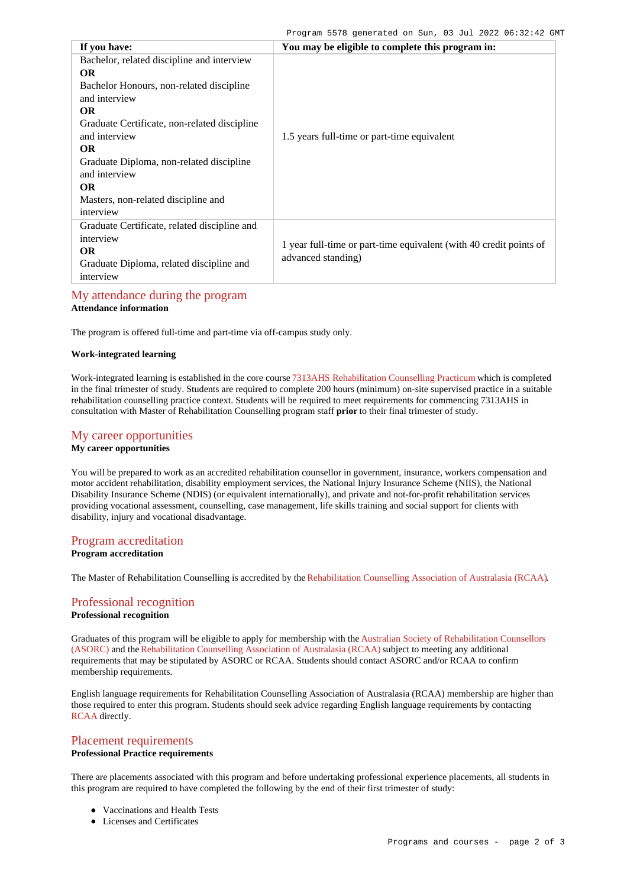| If you have:                                                                                                                                                                                                                                                                                                                            | You may be eligible to complete this program in:                                         |
|-----------------------------------------------------------------------------------------------------------------------------------------------------------------------------------------------------------------------------------------------------------------------------------------------------------------------------------------|------------------------------------------------------------------------------------------|
| Bachelor, related discipline and interview<br>OR.<br>Bachelor Honours, non-related discipline<br>and interview<br><b>OR</b><br>Graduate Certificate, non-related discipline<br>and interview<br><b>OR</b><br>Graduate Diploma, non-related discipline<br>and interview<br><b>OR</b><br>Masters, non-related discipline and<br>interview | 1.5 years full-time or part-time equivalent                                              |
| Graduate Certificate, related discipline and<br>interview<br><b>OR</b><br>Graduate Diploma, related discipline and<br>interview                                                                                                                                                                                                         | 1 year full-time or part-time equivalent (with 40 credit points of<br>advanced standing) |

# [My attendance during the program](https://www148.griffith.edu.au/programs-courses/Program/5578/Overview/Domestic#attendance)

**Attendance information**

The program is offered full-time and part-time via off-campus study only.

## **Work-integrated learning**

Work-integrated learning is established in the core course [7313AHS Rehabilitation Counselling Practicum](https://www148.griffith.edu.au/Course/7313AHS) which is completed in the final trimester of study. Students are required to complete 200 hours (minimum) on-site supervised practice in a suitable rehabilitation counselling practice context. Students will be required to meet requirements for commencing 7313AHS in consultation with Master of Rehabilitation Counselling program staff **prior** to their final trimester of study.

# [My career opportunities](https://www148.griffith.edu.au/programs-courses/Program/5578/Overview/Domestic#opportunities) **My career opportunities**

You will be prepared to work as an accredited rehabilitation counsellor in government, insurance, workers compensation and motor accident rehabilitation, disability employment services, the National Injury Insurance Scheme (NIIS), the National Disability Insurance Scheme (NDIS) (or equivalent internationally), and private and not-for-profit rehabilitation services providing vocational assessment, counselling, case management, life skills training and social support for clients with disability, injury and vocational disadvantage.

## [Program accreditation](https://www148.griffith.edu.au/programs-courses/Program/5578/Overview/Domestic#accreditation)

## **Program accreditation**

The Master of Rehabilitation Counselling is accredited by the [Rehabilitation Counselling Association of Australasia \(RCAA\)](http://www.rcaa.org.au/).

# [Professional recognition](https://www148.griffith.edu.au/programs-courses/Program/5578/Overview/Domestic#recognition)

**Professional recognition**

Graduates of this program will be eligible to apply for membership with the [Australian Society of Rehabilitation Counsellors](http://www.asorc.org.au/) [\(ASORC\)](http://www.asorc.org.au/) and the [Rehabilitation Counselling Association of Australasia \(RCAA\)](http://www.rcaa.org.au/) subject to meeting any additional requirements that may be stipulated by ASORC or RCAA. Students should contact ASORC and/or RCAA to confirm membership requirements.

English language requirements for Rehabilitation Counselling Association of Australasia (RCAA) membership are higher than those required to enter this program. Students should seek advice regarding English language requirements by contacting [RCAA](https://rcaa.org.au/) directly.

## [Placement requirements](https://www148.griffith.edu.au/programs-courses/Program/5578/Overview/Domestic#placement) **Professional Practice requirements**

There are placements associated with this program and before undertaking professional experience placements, all students in this program are required to have completed the following by the end of their first trimester of study:

- Vaccinations and Health Tests
- Licenses and Certificates